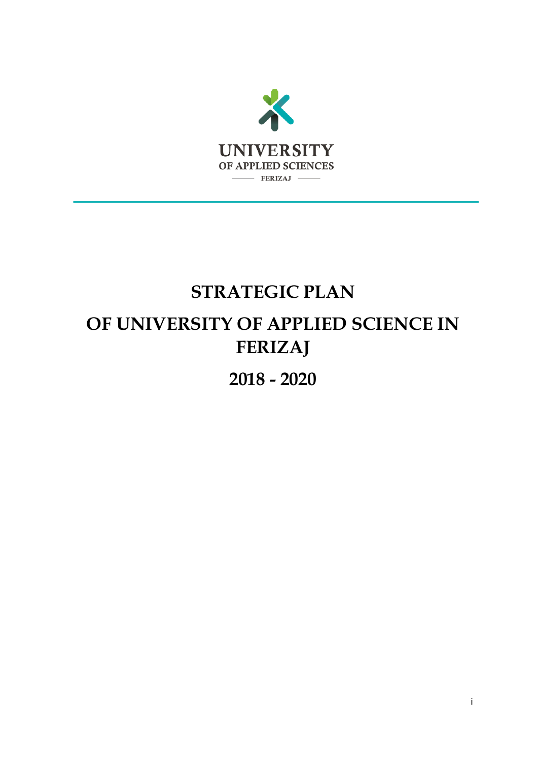

# **STRATEGIC PLAN OF UNIVERSITY OF APPLIED SCIENCE IN FERIZAJ**

**2018 - 2020**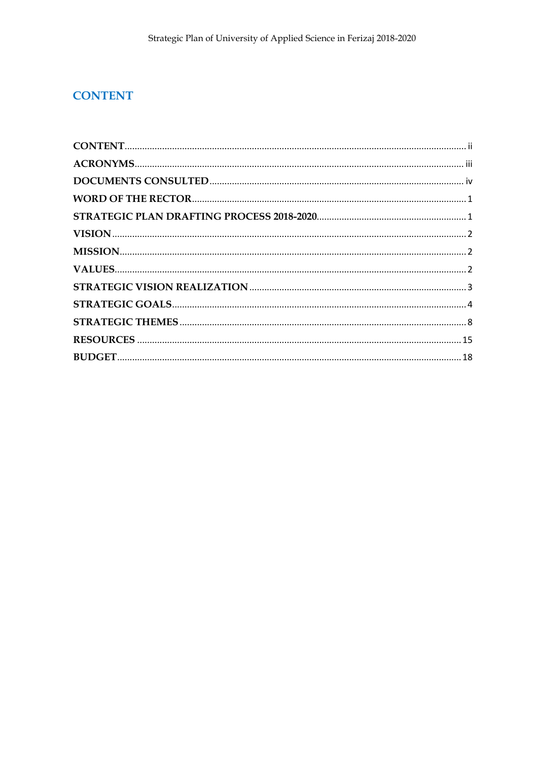# <span id="page-1-0"></span>**CONTENT**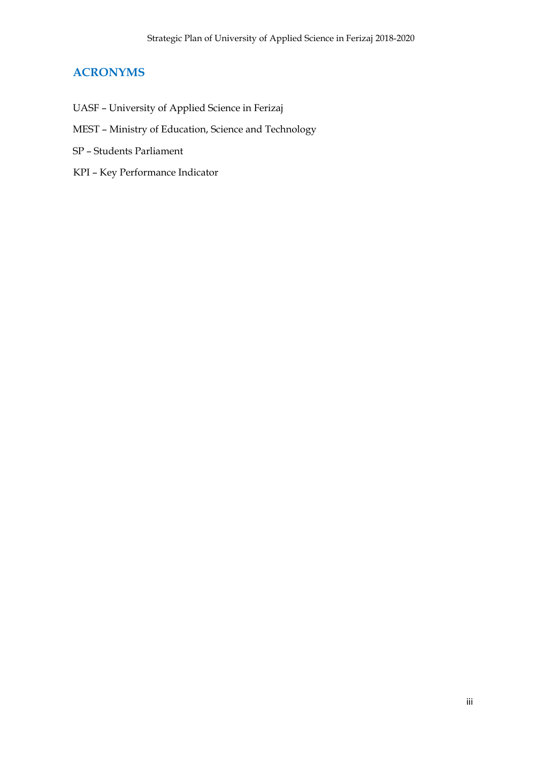# <span id="page-2-0"></span>**ACRONYMS**

- UASF University of Applied Science in Ferizaj
- MEST Ministry of Education, Science and Technology
- SP Students Parliament
- KPI Key Performance Indicator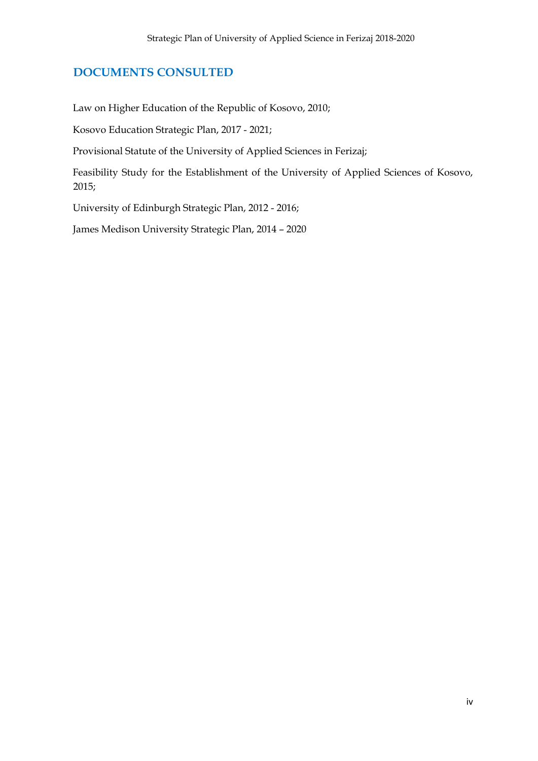# <span id="page-3-0"></span>**DOCUMENTS CONSULTED**

Law on Higher Education of the Republic of Kosovo, 2010;

Kosovo Education Strategic Plan, 2017 - 2021;

Provisional Statute of the University of Applied Sciences in Ferizaj;

Feasibility Study for the Establishment of the University of Applied Sciences of Kosovo, 2015;

University of Edinburgh Strategic Plan, 2012 - 2016;

James Medison University Strategic Plan, 2014 – 2020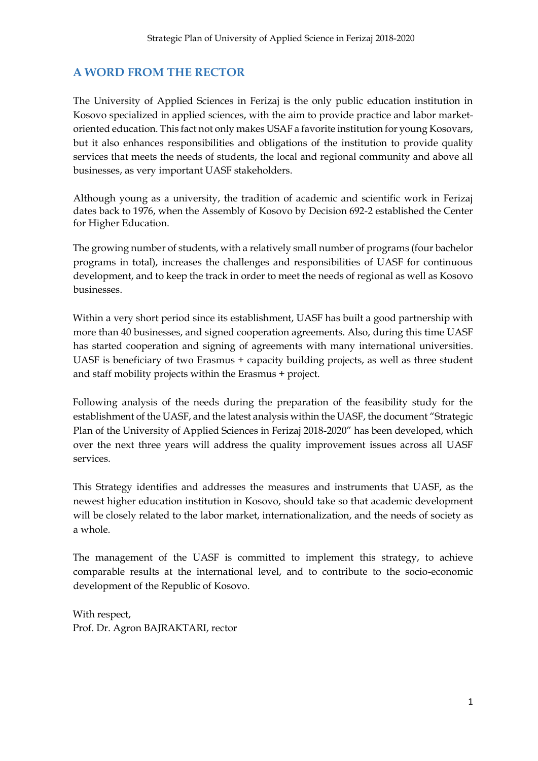# <span id="page-4-0"></span>**A WORD FROM THE RECTOR**

The University of Applied Sciences in Ferizaj is the only public education institution in Kosovo specialized in applied sciences, with the aim to provide practice and labor marketoriented education. This fact not only makes USAF a favorite institution for young Kosovars, but it also enhances responsibilities and obligations of the institution to provide quality services that meets the needs of students, the local and regional community and above all businesses, as very important UASF stakeholders.

Although young as a university, the tradition of academic and scientific work in Ferizaj dates back to 1976, when the Assembly of Kosovo by Decision 692-2 established the Center for Higher Education.

The growing number of students, with a relatively small number of programs (four bachelor programs in total), increases the challenges and responsibilities of UASF for continuous development, and to keep the track in order to meet the needs of regional as well as Kosovo businesses.

Within a very short period since its establishment, UASF has built a good partnership with more than 40 businesses, and signed cooperation agreements. Also, during this time UASF has started cooperation and signing of agreements with many international universities. UASF is beneficiary of two Erasmus + capacity building projects, as well as three student and staff mobility projects within the Erasmus + project.

Following analysis of the needs during the preparation of the feasibility study for the establishment of the UASF, and the latest analysis within the UASF, the document "Strategic Plan of the University of Applied Sciences in Ferizaj 2018-2020" has been developed, which over the next three years will address the quality improvement issues across all UASF services.

This Strategy identifies and addresses the measures and instruments that UASF, as the newest higher education institution in Kosovo, should take so that academic development will be closely related to the labor market, internationalization, and the needs of society as a whole.

The management of the UASF is committed to implement this strategy, to achieve comparable results at the international level, and to contribute to the socio-economic development of the Republic of Kosovo.

With respect, Prof. Dr. Agron BAJRAKTARI, rector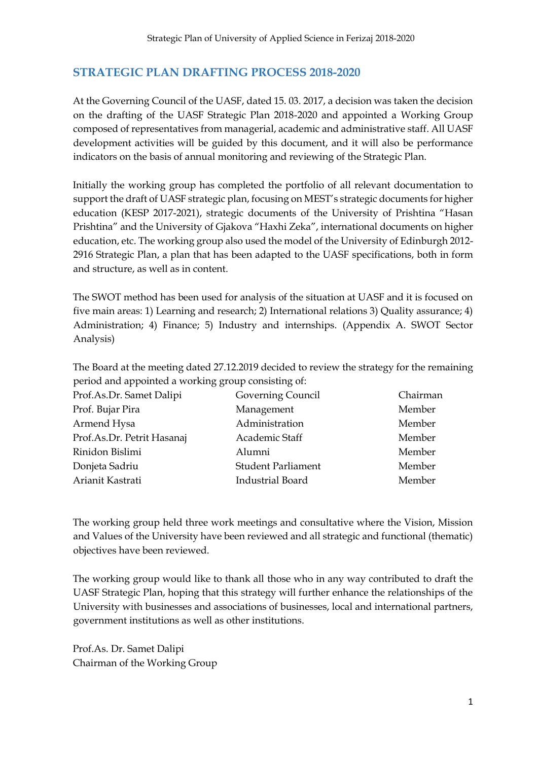# <span id="page-6-0"></span>**STRATEGIC PLAN DRAFTING PROCESS 2018-2020**

At the Governing Council of the UASF, dated 15. 03. 2017, a decision was taken the decision on the drafting of the UASF Strategic Plan 2018-2020 and appointed a Working Group composed of representatives from managerial, academic and administrative staff. All UASF development activities will be guided by this document, and it will also be performance indicators on the basis of annual monitoring and reviewing of the Strategic Plan.

Initially the working group has completed the portfolio of all relevant documentation to support the draft of UASF strategic plan, focusing on MEST's strategic documents for higher education (KESP 2017-2021), strategic documents of the University of Prishtina "Hasan Prishtina" and the University of Gjakova "Haxhi Zeka", international documents on higher education, etc. The working group also used the model of the University of Edinburgh 2012- 2916 Strategic Plan, a plan that has been adapted to the UASF specifications, both in form and structure, as well as in content.

The SWOT method has been used for analysis of the situation at UASF and it is focused on five main areas: 1) Learning and research; 2) International relations 3) Quality assurance; 4) Administration; 4) Finance; 5) Industry and internships. (Appendix A. SWOT Sector Analysis)

The Board at the meeting dated 27.12.2019 decided to review the strategy for the remaining period and appointed a working group consisting of:

| Prof.As.Dr. Samet Dalipi   | Governing Council         | Chairman |
|----------------------------|---------------------------|----------|
| Prof. Bujar Pira           | Management                | Member   |
| Armend Hysa                | Administration            | Member   |
| Prof.As.Dr. Petrit Hasanaj | Academic Staff            | Member   |
| Rinidon Bislimi            | Alumni                    | Member   |
| Donjeta Sadriu             | <b>Student Parliament</b> | Member   |
| Arianit Kastrati           | <b>Industrial Board</b>   | Member   |

The working group held three work meetings and consultative where the Vision, Mission and Values of the University have been reviewed and all strategic and functional (thematic) objectives have been reviewed.

The working group would like to thank all those who in any way contributed to draft the UASF Strategic Plan, hoping that this strategy will further enhance the relationships of the University with businesses and associations of businesses, local and international partners, government institutions as well as other institutions.

Prof.As. Dr. Samet Dalipi Chairman of the Working Group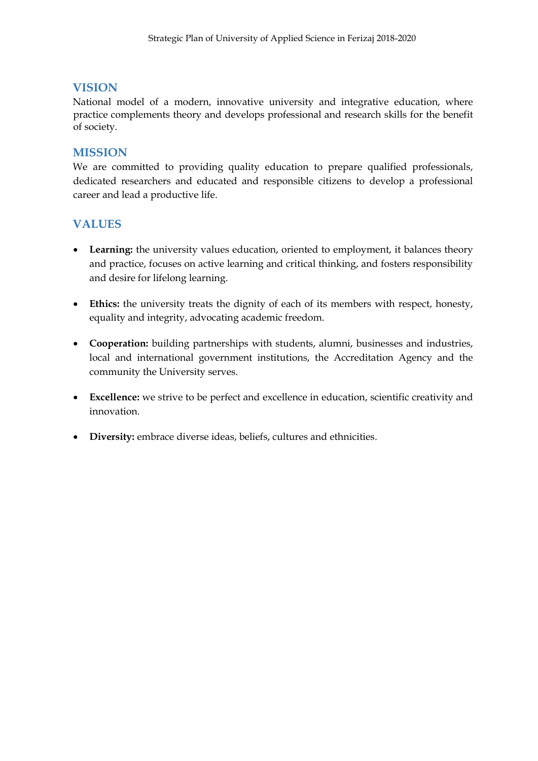# <span id="page-7-0"></span>**VISION**

National model of a modern, innovative university and integrative education, where practice complements theory and develops professional and research skills for the benefit of society.

# <span id="page-7-1"></span>**MISSION**

We are committed to providing quality education to prepare qualified professionals, dedicated researchers and educated and responsible citizens to develop a professional career and lead a productive life.

# <span id="page-7-2"></span>**VALUES**

- **Learning:** the university values education, oriented to employment, it balances theory and practice, focuses on active learning and critical thinking, and fosters responsibility and desire for lifelong learning.
- **Ethics:** the university treats the dignity of each of its members with respect, honesty, equality and integrity, advocating academic freedom.
- **Cooperation:** building partnerships with students, alumni, businesses and industries, local and international government institutions, the Accreditation Agency and the community the University serves.
- **Excellence:** we strive to be perfect and excellence in education, scientific creativity and innovation.
- **•** Diversity: embrace diverse ideas, beliefs, cultures and ethnicities.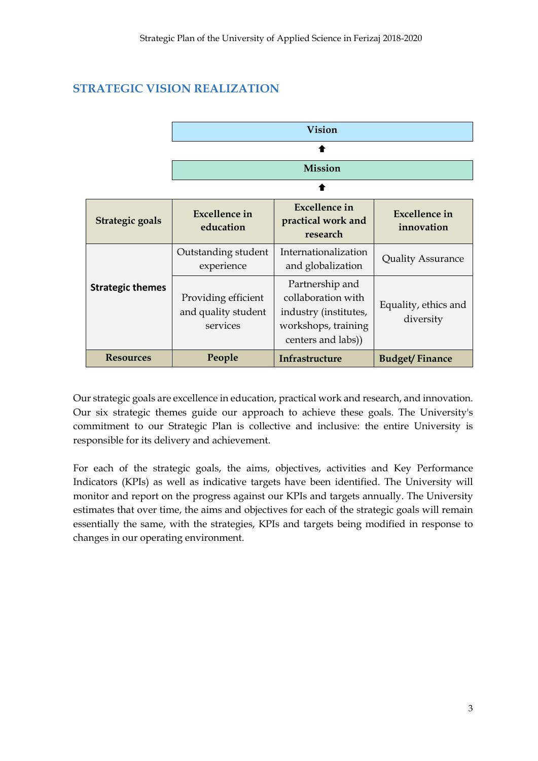# <span id="page-8-0"></span>**STRATEGIC VISION REALIZATION**

|                         | <b>Vision</b>                                          |                                                                                                             |                                    |
|-------------------------|--------------------------------------------------------|-------------------------------------------------------------------------------------------------------------|------------------------------------|
|                         |                                                        |                                                                                                             |                                    |
|                         | <b>Mission</b>                                         |                                                                                                             |                                    |
|                         |                                                        |                                                                                                             |                                    |
| Strategic goals         | <b>Excellence in</b><br>education                      | <b>Excellence</b> in<br>practical work and<br>research                                                      | <b>Excellence in</b><br>innovation |
|                         | Outstanding student<br>experience                      | Internationalization<br>and globalization                                                                   | <b>Quality Assurance</b>           |
| <b>Strategic themes</b> | Providing efficient<br>and quality student<br>services | Partnership and<br>collaboration with<br>industry (institutes,<br>workshops, training<br>centers and labs)) | Equality, ethics and<br>diversity  |
| <b>Resources</b>        | People                                                 | Infrastructure                                                                                              | <b>Budget/Finance</b>              |

Our strategic goals are excellence in education, practical work and research, and innovation. Our six strategic themes guide our approach to achieve these goals. The University's commitment to our Strategic Plan is collective and inclusive: the entire University is responsible for its delivery and achievement.

For each of the strategic goals, the aims, objectives, activities and Key Performance Indicators (KPIs) as well as indicative targets have been identified. The University will monitor and report on the progress against our KPIs and targets annually. The University estimates that over time, the aims and objectives for each of the strategic goals will remain essentially the same, with the strategies, KPIs and targets being modified in response to changes in our operating environment.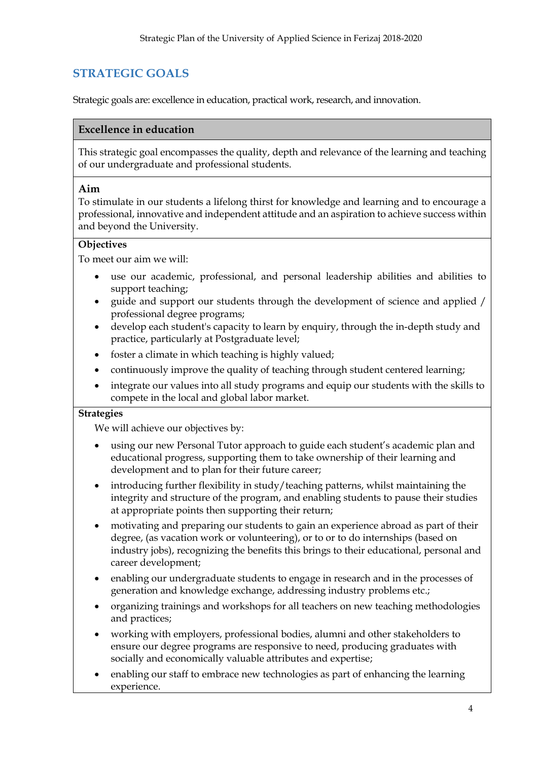# <span id="page-9-0"></span>**STRATEGIC GOALS**

Strategic goals are: excellence in education, practical work, research, and innovation.

## **Excellence in education**

This strategic goal encompasses the quality, depth and relevance of the learning and teaching of our undergraduate and professional students.

#### **Aim**

To stimulate in our students a lifelong thirst for knowledge and learning and to encourage a professional, innovative and independent attitude and an aspiration to achieve success within and beyond the University.

## **Objectives**

To meet our aim we will:

- use our academic, professional, and personal leadership abilities and abilities to support teaching;
- guide and support our students through the development of science and applied / professional degree programs;
- develop each student's capacity to learn by enquiry, through the in-depth study and practice, particularly at Postgraduate level;
- foster a climate in which teaching is highly valued;
- continuously improve the quality of teaching through student centered learning;
- integrate our values into all study programs and equip our students with the skills to compete in the local and global labor market.

#### **Strategies**

We will achieve our objectives by:

- using our new Personal Tutor approach to guide each student's academic plan and educational progress, supporting them to take ownership of their learning and development and to plan for their future career;
- introducing further flexibility in study/teaching patterns, whilst maintaining the integrity and structure of the program, and enabling students to pause their studies at appropriate points then supporting their return;
- motivating and preparing our students to gain an experience abroad as part of their degree, (as vacation work or volunteering), or to or to do internships (based on industry jobs), recognizing the benefits this brings to their educational, personal and career development;
- enabling our undergraduate students to engage in research and in the processes of generation and knowledge exchange, addressing industry problems etc.;
- organizing trainings and workshops for all teachers on new teaching methodologies and practices;
- working with employers, professional bodies, alumni and other stakeholders to ensure our degree programs are responsive to need, producing graduates with socially and economically valuable attributes and expertise;
- enabling our staff to embrace new technologies as part of enhancing the learning experience.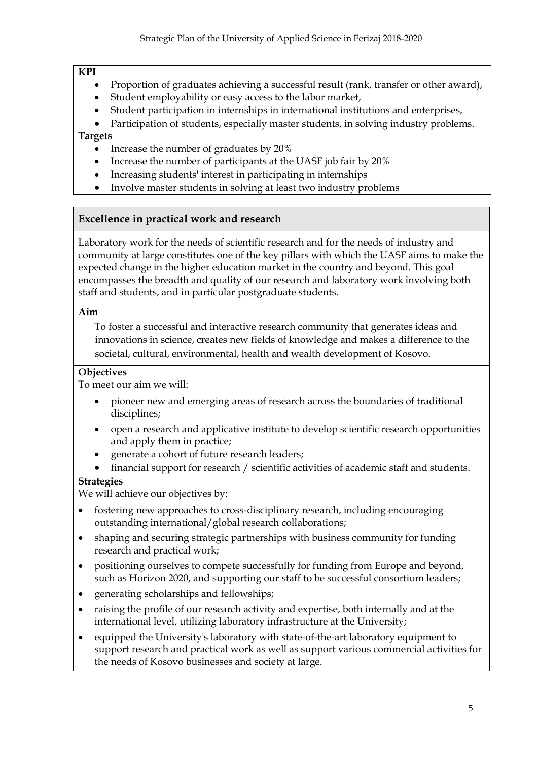#### **KPI**

- Proportion of graduates achieving a successful result (rank, transfer or other award),
- Student employability or easy access to the labor market,
- Student participation in internships in international institutions and enterprises,
- Participation of students, especially master students, in solving industry problems.

# **Targets**

- Increase the number of graduates by 20%
- Increase the number of participants at the UASF job fair by 20%
- Increasing students' interest in participating in internships
- Involve master students in solving at least two industry problems

# **Excellence in practical work and research**

Laboratory work for the needs of scientific research and for the needs of industry and community at large constitutes one of the key pillars with which the UASF aims to make the expected change in the higher education market in the country and beyond. This goal encompasses the breadth and quality of our research and laboratory work involving both staff and students, and in particular postgraduate students.

# **Aim**

To foster a successful and interactive research community that generates ideas and innovations in science, creates new fields of knowledge and makes a difference to the societal, cultural, environmental, health and wealth development of Kosovo.

# **Objectives**

To meet our aim we will:

- pioneer new and emerging areas of research across the boundaries of traditional disciplines;
- open a research and applicative institute to develop scientific research opportunities and apply them in practice;
- generate a cohort of future research leaders;
- financial support for research / scientific activities of academic staff and students.

# **Strategies**

We will achieve our objectives by:

- fostering new approaches to cross-disciplinary research, including encouraging outstanding international/global research collaborations;
- shaping and securing strategic partnerships with business community for funding research and practical work;
- positioning ourselves to compete successfully for funding from Europe and beyond, such as Horizon 2020, and supporting our staff to be successful consortium leaders;
- generating scholarships and fellowships;
- raising the profile of our research activity and expertise, both internally and at the international level, utilizing laboratory infrastructure at the University;
- equipped the University's laboratory with state-of-the-art laboratory equipment to support research and practical work as well as support various commercial activities for the needs of Kosovo businesses and society at large.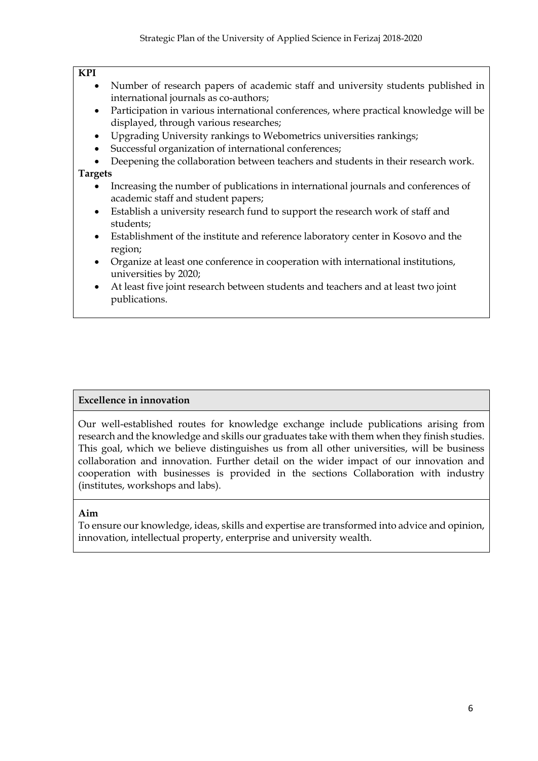#### **KPI**

- Number of research papers of academic staff and university students published in international journals as co-authors;
- Participation in various international conferences, where practical knowledge will be displayed, through various researches;
- Upgrading University rankings to Webometrics universities rankings;
- Successful organization of international conferences;
- Deepening the collaboration between teachers and students in their research work.

# **Targets**

- Increasing the number of publications in international journals and conferences of academic staff and student papers;
- Establish a university research fund to support the research work of staff and students;
- Establishment of the institute and reference laboratory center in Kosovo and the region;
- Organize at least one conference in cooperation with international institutions, universities by 2020;
- At least five joint research between students and teachers and at least two joint publications.

# **Excellence in innovation**

Our well-established routes for knowledge exchange include publications arising from research and the knowledge and skills our graduates take with them when they finish studies. This goal, which we believe distinguishes us from all other universities, will be business collaboration and innovation. Further detail on the wider impact of our innovation and cooperation with businesses is provided in the sections Collaboration with industry (institutes, workshops and labs).

# **Aim**

To ensure our knowledge, ideas, skills and expertise are transformed into advice and opinion, innovation, intellectual property, enterprise and university wealth.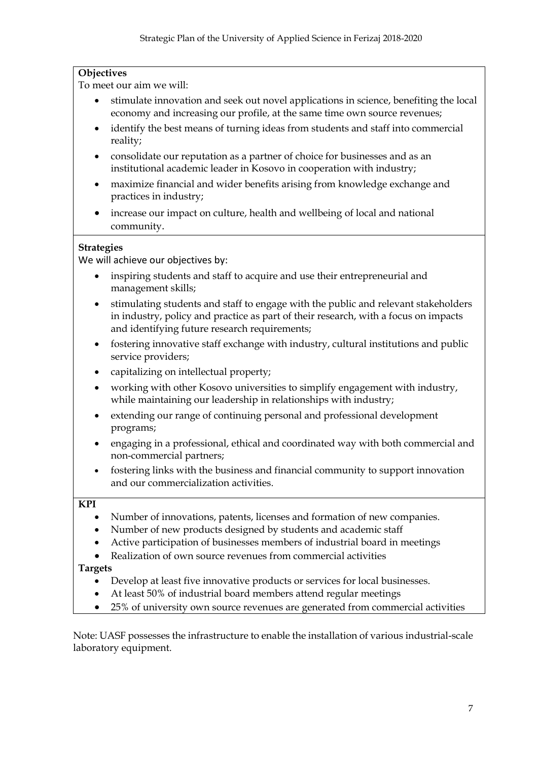# **Objectives**

To meet our aim we will:

- stimulate innovation and seek out novel applications in science, benefiting the local economy and increasing our profile, at the same time own source revenues;
- identify the best means of turning ideas from students and staff into commercial reality;
- consolidate our reputation as a partner of choice for businesses and as an institutional academic leader in Kosovo in cooperation with industry;
- maximize financial and wider benefits arising from knowledge exchange and practices in industry;
- increase our impact on culture, health and wellbeing of local and national community.

# **Strategies**

We will achieve our objectives by:

- inspiring students and staff to acquire and use their entrepreneurial and management skills;
- stimulating students and staff to engage with the public and relevant stakeholders in industry, policy and practice as part of their research, with a focus on impacts and identifying future research requirements;
- fostering innovative staff exchange with industry, cultural institutions and public service providers;
- capitalizing on intellectual property;
- working with other Kosovo universities to simplify engagement with industry, while maintaining our leadership in relationships with industry;
- extending our range of continuing personal and professional development programs;
- engaging in a professional, ethical and coordinated way with both commercial and non-commercial partners;
- fostering links with the business and financial community to support innovation and our commercialization activities.

#### **KPI**

- Number of innovations, patents, licenses and formation of new companies.
- Number of new products designed by students and academic staff
- Active participation of businesses members of industrial board in meetings
- Realization of own source revenues from commercial activities

# **Targets**

- Develop at least five innovative products or services for local businesses.
- At least 50% of industrial board members attend regular meetings
- 25% of university own source revenues are generated from commercial activities

Note: UASF possesses the infrastructure to enable the installation of various industrial-scale laboratory equipment.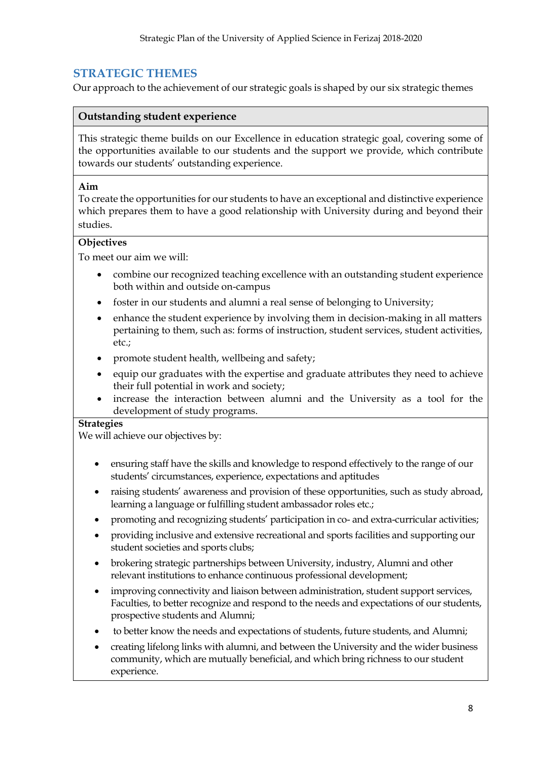# <span id="page-13-0"></span>**STRATEGIC THEMES**

Our approach to the achievement of our strategic goals is shaped by our six strategic themes

## **Outstanding student experience**

This strategic theme builds on our Excellence in education strategic goal, covering some of the opportunities available to our students and the support we provide, which contribute towards our students' outstanding experience.

#### **Aim**

To create the opportunities for our students to have an exceptional and distinctive experience which prepares them to have a good relationship with University during and beyond their studies.

#### **Objectives**

To meet our aim we will:

- combine our recognized teaching excellence with an outstanding student experience both within and outside on-campus
- foster in our students and alumni a real sense of belonging to University;
- enhance the student experience by involving them in decision-making in all matters pertaining to them, such as: forms of instruction, student services, student activities, etc.;
- promote student health, wellbeing and safety;
- equip our graduates with the expertise and graduate attributes they need to achieve their full potential in work and society;
- increase the interaction between alumni and the University as a tool for the development of study programs.

#### **Strategies**

We will achieve our objectives by:

- ensuring staff have the skills and knowledge to respond effectively to the range of our students' circumstances, experience, expectations and aptitudes
- raising students' awareness and provision of these opportunities, such as study abroad, learning a language or fulfilling student ambassador roles etc.;
- promoting and recognizing students' participation in co- and extra-curricular activities;
- providing inclusive and extensive recreational and sports facilities and supporting our student societies and sports clubs;
- brokering strategic partnerships between University, industry, Alumni and other relevant institutions to enhance continuous professional development;
- improving connectivity and liaison between administration, student support services, Faculties, to better recognize and respond to the needs and expectations of our students, prospective students and Alumni;
- to better know the needs and expectations of students, future students, and Alumni;
- creating lifelong links with alumni, and between the University and the wider business community, which are mutually beneficial, and which bring richness to our student experience.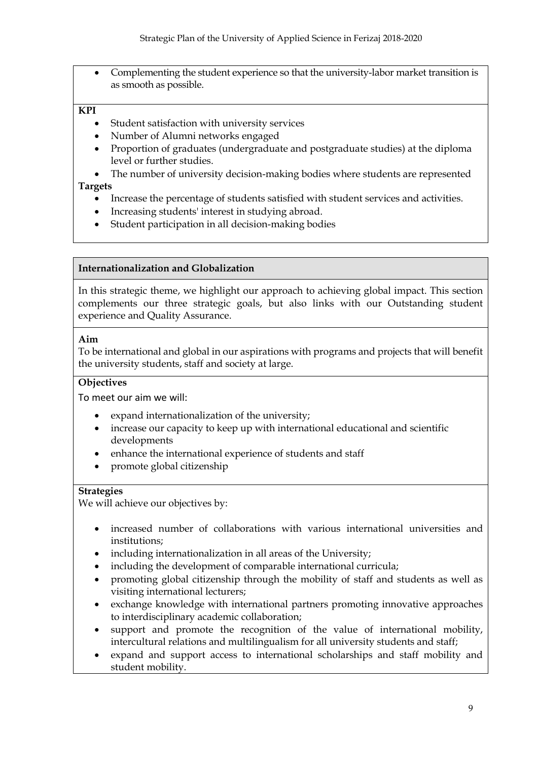Complementing the student experience so that the university-labor market transition is as smooth as possible.

#### **KPI**

- Student satisfaction with university services
- Number of Alumni networks engaged
- Proportion of graduates (undergraduate and postgraduate studies) at the diploma level or further studies.
- The number of university decision-making bodies where students are represented

#### **Targets**

- Increase the percentage of students satisfied with student services and activities.
- Increasing students' interest in studying abroad.
- Student participation in all decision-making bodies

#### **Internationalization and Globalization**

In this strategic theme, we highlight our approach to achieving global impact. This section complements our three strategic goals, but also links with our Outstanding student experience and Quality Assurance.

#### **Aim**

To be international and global in our aspirations with programs and projects that will benefit the university students, staff and society at large.

#### **Objectives**

To meet our aim we will:

- expand internationalization of the university;
- increase our capacity to keep up with international educational and scientific developments
- enhance the international experience of students and staff
- promote global citizenship

#### **Strategies**

We will achieve our objectives by:

- increased number of collaborations with various international universities and institutions;
- including internationalization in all areas of the University;
- including the development of comparable international curricula;
- promoting global citizenship through the mobility of staff and students as well as visiting international lecturers;
- exchange knowledge with international partners promoting innovative approaches to interdisciplinary academic collaboration;
- support and promote the recognition of the value of international mobility, intercultural relations and multilingualism for all university students and staff;
- expand and support access to international scholarships and staff mobility and student mobility.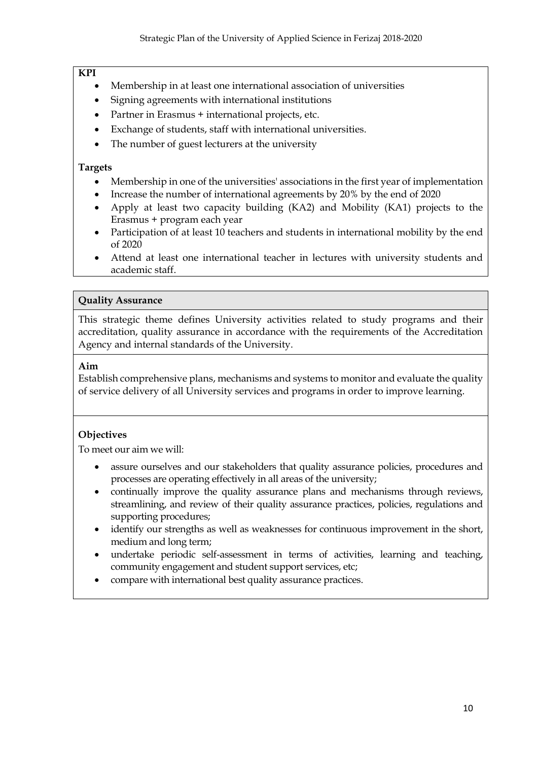#### **KPI**

- Membership in at least one international association of universities
- Signing agreements with international institutions
- Partner in Erasmus + international projects, etc.
- Exchange of students, staff with international universities.
- The number of guest lecturers at the university

#### **Targets**

- Membership in one of the universities' associations in the first year of implementation
- Increase the number of international agreements by 20% by the end of 2020
- Apply at least two capacity building (KA2) and Mobility (KA1) projects to the Erasmus + program each year
- Participation of at least 10 teachers and students in international mobility by the end of 2020
- Attend at least one international teacher in lectures with university students and academic staff.

#### **Quality Assurance**

This strategic theme defines University activities related to study programs and their accreditation, quality assurance in accordance with the requirements of the Accreditation Agency and internal standards of the University.

#### **Aim**

Establish comprehensive plans, mechanisms and systems to monitor and evaluate the quality of service delivery of all University services and programs in order to improve learning.

# **Objectives**

To meet our aim we will:

- assure ourselves and our stakeholders that quality assurance policies, procedures and processes are operating effectively in all areas of the university;
- continually improve the quality assurance plans and mechanisms through reviews, streamlining, and review of their quality assurance practices, policies, regulations and supporting procedures;
- identify our strengths as well as weaknesses for continuous improvement in the short, medium and long term;
- undertake periodic self-assessment in terms of activities, learning and teaching, community engagement and student support services, etc;
- compare with international best quality assurance practices.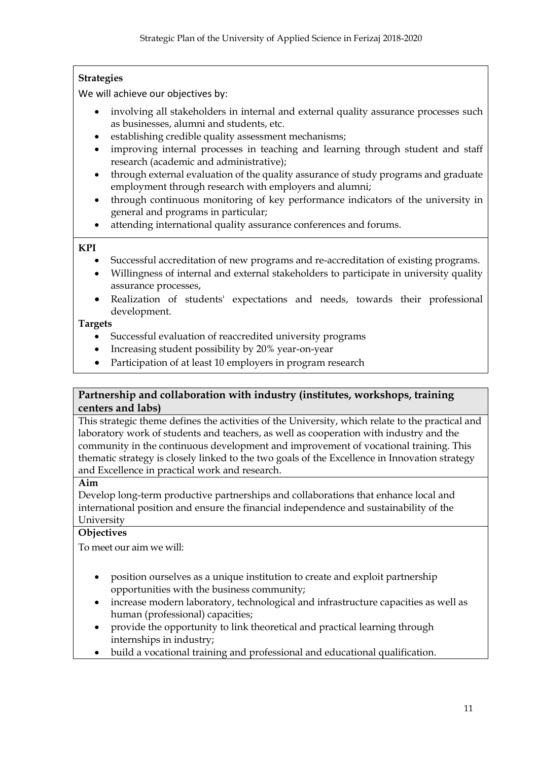# **Strategies**

We will achieve our objectives by:

- involving all stakeholders in internal and external quality assurance processes such as businesses, alumni and students, etc.
- establishing credible quality assessment mechanisms;
- improving internal processes in teaching and learning through student and staff research (academic and administrative);
- through external evaluation of the quality assurance of study programs and graduate employment through research with employers and alumni;
- through continuous monitoring of key performance indicators of the university in general and programs in particular;
- attending international quality assurance conferences and forums.

#### **KPI**

- Successful accreditation of new programs and re-accreditation of existing programs.
- Willingness of internal and external stakeholders to participate in university quality assurance processes,
- Realization of students' expectations and needs, towards their professional development.

#### **Targets**

- Successful evaluation of reaccredited university programs
- Increasing student possibility by 20% year-on-year
- Participation of at least 10 employers in program research

# **Partnership and collaboration with industry (institutes, workshops, training centers and labs)**

This strategic theme defines the activities of the University, which relate to the practical and laboratory work of students and teachers, as well as cooperation with industry and the community in the continuous development and improvement of vocational training. This thematic strategy is closely linked to the two goals of the Excellence in Innovation strategy and Excellence in practical work and research.

#### **Aim**

Develop long-term productive partnerships and collaborations that enhance local and international position and ensure the financial independence and sustainability of the University

# **Objectives**

To meet our aim we will:

- position ourselves as a unique institution to create and exploit partnership opportunities with the business community;
- increase modern laboratory, technological and infrastructure capacities as well as human (professional) capacities;
- provide the opportunity to link theoretical and practical learning through internships in industry;
- build a vocational training and professional and educational qualification.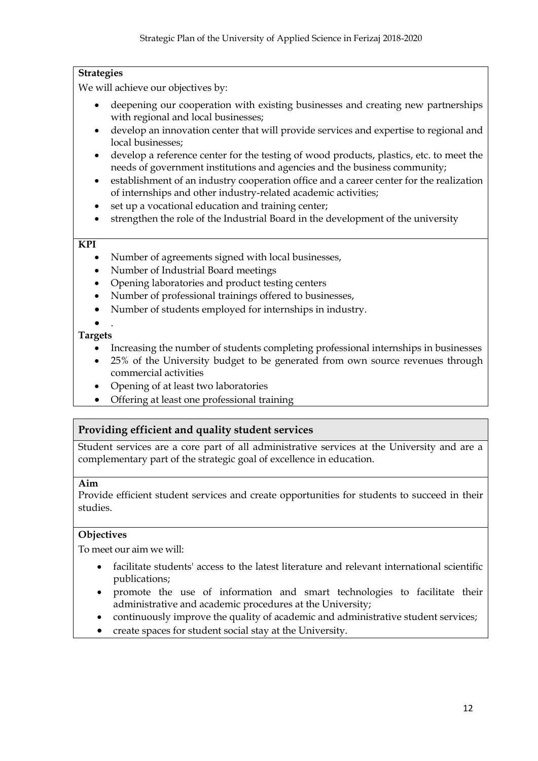# **Strategies**

We will achieve our objectives by:

- deepening our cooperation with existing businesses and creating new partnerships with regional and local businesses;
- develop an innovation center that will provide services and expertise to regional and local businesses;
- develop a reference center for the testing of wood products, plastics, etc. to meet the needs of government institutions and agencies and the business community;
- establishment of an industry cooperation office and a career center for the realization of internships and other industry-related academic activities;
- set up a vocational education and training center;
- strengthen the role of the Industrial Board in the development of the university

### **KPI**

- Number of agreements signed with local businesses,
- Number of Industrial Board meetings
- Opening laboratories and product testing centers
- Number of professional trainings offered to businesses,
- Number of students employed for internships in industry.

#### $\bullet$ . **Targets**

- Increasing the number of students completing professional internships in businesses
- 25% of the University budget to be generated from own source revenues through commercial activities
- Opening of at least two laboratories
- Offering at least one professional training

# **Providing efficient and quality student services**

Student services are a core part of all administrative services at the University and are a complementary part of the strategic goal of excellence in education.

# **Aim**

Provide efficient student services and create opportunities for students to succeed in their studies.

# **Objectives**

To meet our aim we will:

- facilitate students' access to the latest literature and relevant international scientific publications;
- promote the use of information and smart technologies to facilitate their administrative and academic procedures at the University;
- continuously improve the quality of academic and administrative student services;
- create spaces for student social stay at the University.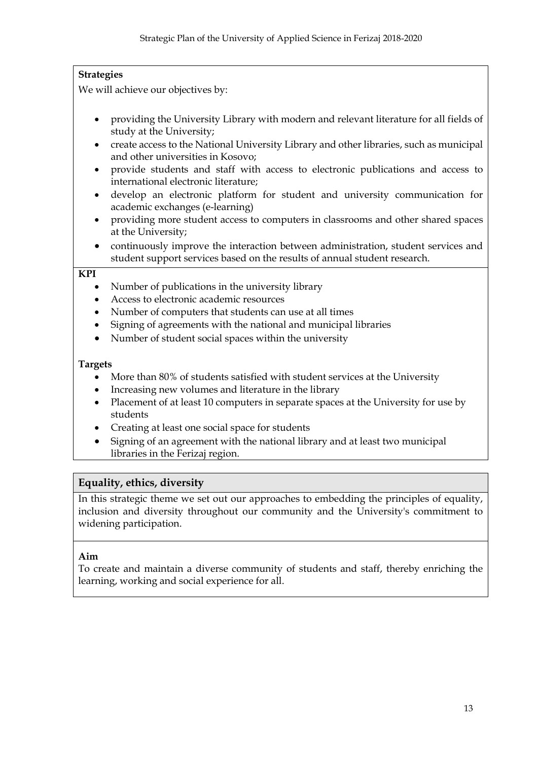# **Strategies**

We will achieve our objectives by:

- providing the University Library with modern and relevant literature for all fields of study at the University;
- create access to the National University Library and other libraries, such as municipal and other universities in Kosovo;
- provide students and staff with access to electronic publications and access to international electronic literature;
- develop an electronic platform for student and university communication for academic exchanges (e-learning)
- providing more student access to computers in classrooms and other shared spaces at the University;
- continuously improve the interaction between administration, student services and student support services based on the results of annual student research.

#### **KPI**

- Number of publications in the university library
- Access to electronic academic resources
- Number of computers that students can use at all times
- Signing of agreements with the national and municipal libraries
- Number of student social spaces within the university

#### **Targets**

- More than 80% of students satisfied with student services at the University
- Increasing new volumes and literature in the library
- Placement of at least 10 computers in separate spaces at the University for use by students
- Creating at least one social space for students
- Signing of an agreement with the national library and at least two municipal libraries in the Ferizaj region.

# **Equality, ethics, diversity**

In this strategic theme we set out our approaches to embedding the principles of equality, inclusion and diversity throughout our community and the University's commitment to widening participation.

#### **Aim**

To create and maintain a diverse community of students and staff, thereby enriching the learning, working and social experience for all.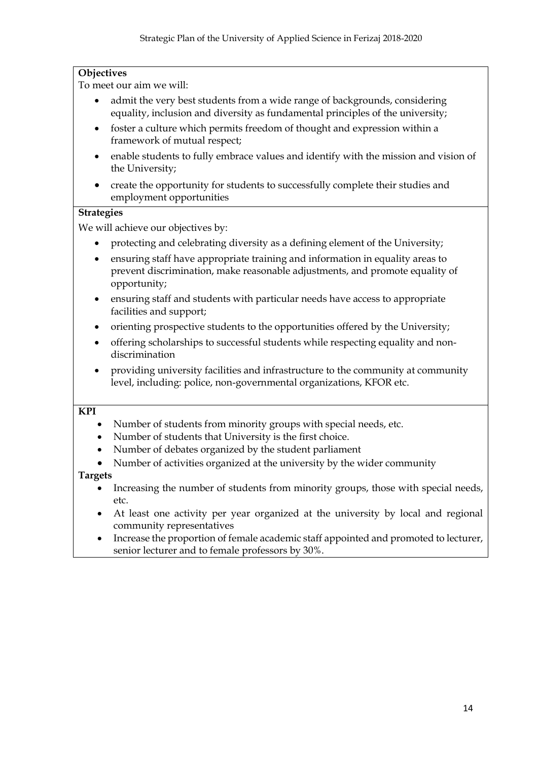# **Objectives**

To meet our aim we will:

- admit the very best students from a wide range of backgrounds, considering equality, inclusion and diversity as fundamental principles of the university;
- foster a culture which permits freedom of thought and expression within a framework of mutual respect;
- enable students to fully embrace values and identify with the mission and vision of the University;
- create the opportunity for students to successfully complete their studies and employment opportunities

#### **Strategies**

We will achieve our objectives by:

- protecting and celebrating diversity as a defining element of the University;
- ensuring staff have appropriate training and information in equality areas to prevent discrimination, make reasonable adjustments, and promote equality of opportunity;
- ensuring staff and students with particular needs have access to appropriate facilities and support;
- orienting prospective students to the opportunities offered by the University;
- offering scholarships to successful students while respecting equality and nondiscrimination
- providing university facilities and infrastructure to the community at community level, including: police, non-governmental organizations, KFOR etc.

#### **KPI**

- Number of students from minority groups with special needs, etc.
- Number of students that University is the first choice.
- Number of debates organized by the student parliament
- Number of activities organized at the university by the wider community

- Increasing the number of students from minority groups, those with special needs, etc.
- At least one activity per year organized at the university by local and regional community representatives
- Increase the proportion of female academic staff appointed and promoted to lecturer, senior lecturer and to female professors by 30%.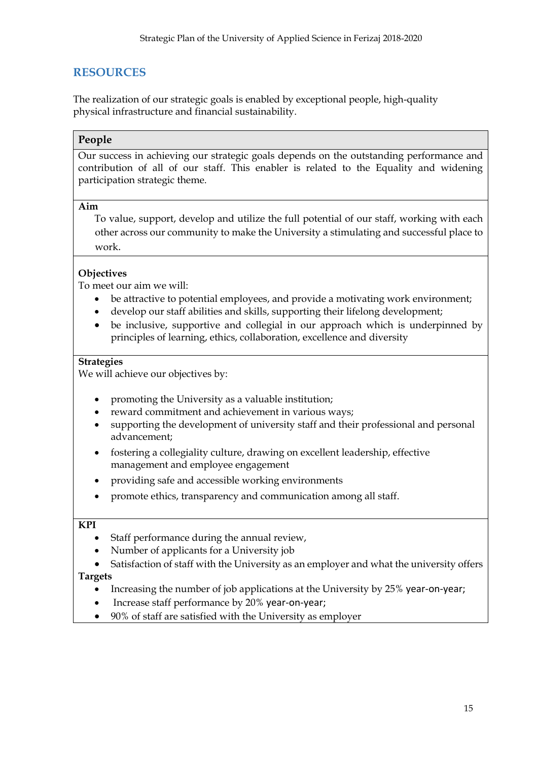# <span id="page-20-0"></span>**RESOURCES**

The realization of our strategic goals is enabled by exceptional people, high-quality physical infrastructure and financial sustainability.

# **People**

Our success in achieving our strategic goals depends on the outstanding performance and contribution of all of our staff. This enabler is related to the Equality and widening participation strategic theme.

#### **Aim**

To value, support, develop and utilize the full potential of our staff, working with each other across our community to make the University a stimulating and successful place to work.

# **Objectives**

To meet our aim we will:

- be attractive to potential employees, and provide a motivating work environment;
- develop our staff abilities and skills, supporting their lifelong development;
- be inclusive, supportive and collegial in our approach which is underpinned by principles of learning, ethics, collaboration, excellence and diversity

#### **Strategies**

We will achieve our objectives by:

- promoting the University as a valuable institution;
- reward commitment and achievement in various ways;
- supporting the development of university staff and their professional and personal advancement;
- fostering a collegiality culture, drawing on excellent leadership, effective management and employee engagement
- providing safe and accessible working environments
- promote ethics, transparency and communication among all staff.

#### **KPI**

- Staff performance during the annual review,
- Number of applicants for a University job
- Satisfaction of staff with the University as an employer and what the university offers

- Increasing the number of job applications at the University by 25% year-on-year;
- Increase staff performance by 20% year-on-year;
- 90% of staff are satisfied with the University as employer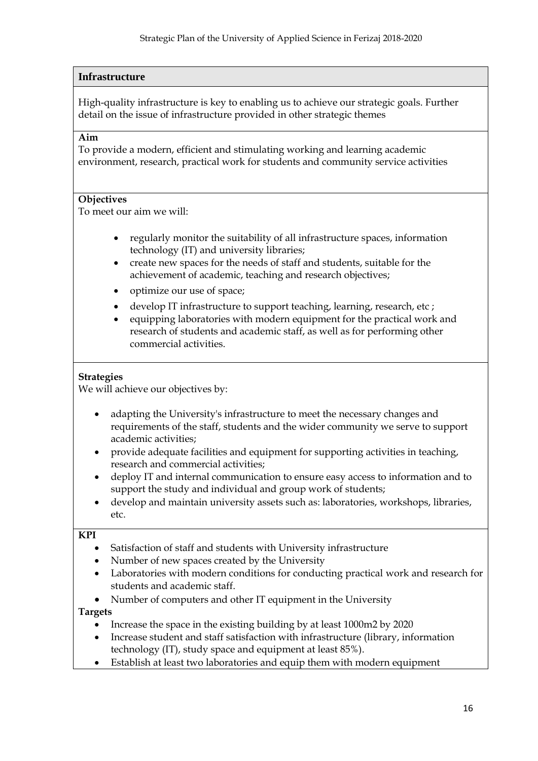# **Infrastructure**

High-quality infrastructure is key to enabling us to achieve our strategic goals. Further detail on the issue of infrastructure provided in other strategic themes

#### **Aim**

To provide a modern, efficient and stimulating working and learning academic environment, research, practical work for students and community service activities

#### **Objectives**

To meet our aim we will:

- regularly monitor the suitability of all infrastructure spaces, information technology (IT) and university libraries;
- create new spaces for the needs of staff and students, suitable for the achievement of academic, teaching and research objectives;
- optimize our use of space;
- develop IT infrastructure to support teaching, learning, research, etc;
- equipping laboratories with modern equipment for the practical work and research of students and academic staff, as well as for performing other commercial activities.

#### **Strategies**

We will achieve our objectives by:

- adapting the University's infrastructure to meet the necessary changes and requirements of the staff, students and the wider community we serve to support academic activities;
- provide adequate facilities and equipment for supporting activities in teaching, research and commercial activities;
- deploy IT and internal communication to ensure easy access to information and to support the study and individual and group work of students;
- develop and maintain university assets such as: laboratories, workshops, libraries, etc.

#### **KPI**

- Satisfaction of staff and students with University infrastructure
- Number of new spaces created by the University
- Laboratories with modern conditions for conducting practical work and research for students and academic staff.
- Number of computers and other IT equipment in the University

- Increase the space in the existing building by at least 1000m2 by 2020
- Increase student and staff satisfaction with infrastructure (library, information technology (IT), study space and equipment at least 85%).
- Establish at least two laboratories and equip them with modern equipment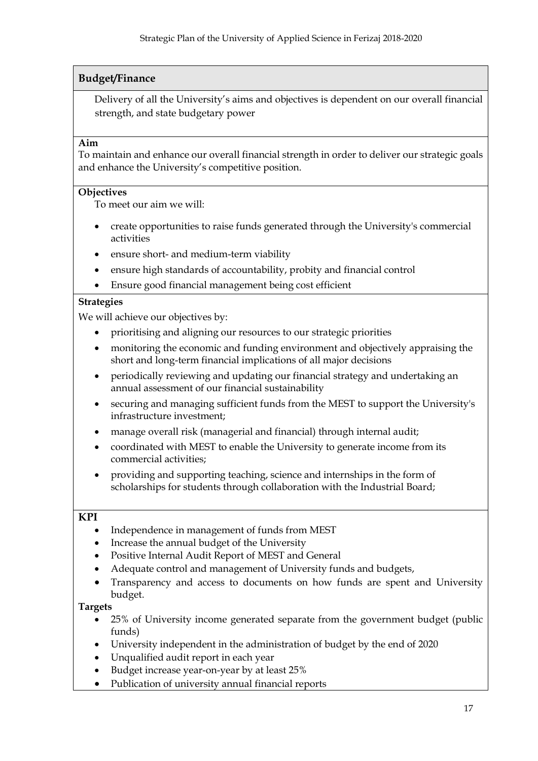# **Budget/Finance**

Delivery of all the University's aims and objectives is dependent on our overall financial strength, and state budgetary power

#### **Aim**

To maintain and enhance our overall financial strength in order to deliver our strategic goals and enhance the University's competitive position.

#### **Objectives**

To meet our aim we will:

- create opportunities to raise funds generated through the University's commercial activities
- ensure short- and medium-term viability
- ensure high standards of accountability, probity and financial control
- Ensure good financial management being cost efficient

## **Strategies**

We will achieve our objectives by:

- prioritising and aligning our resources to our strategic priorities
- monitoring the economic and funding environment and objectively appraising the short and long-term financial implications of all major decisions
- periodically reviewing and updating our financial strategy and undertaking an annual assessment of our financial sustainability
- securing and managing sufficient funds from the MEST to support the University's infrastructure investment;
- manage overall risk (managerial and financial) through internal audit;
- coordinated with MEST to enable the University to generate income from its commercial activities;
- providing and supporting teaching, science and internships in the form of scholarships for students through collaboration with the Industrial Board;

#### **KPI**

- Independence in management of funds from MEST
- Increase the annual budget of the University
- Positive Internal Audit Report of MEST and General
- Adequate control and management of University funds and budgets,
- Transparency and access to documents on how funds are spent and University budget.

- 25% of University income generated separate from the government budget (public funds)
- University independent in the administration of budget by the end of 2020
- Unqualified audit report in each year
- Budget increase year-on-year by at least 25%
- Publication of university annual financial reports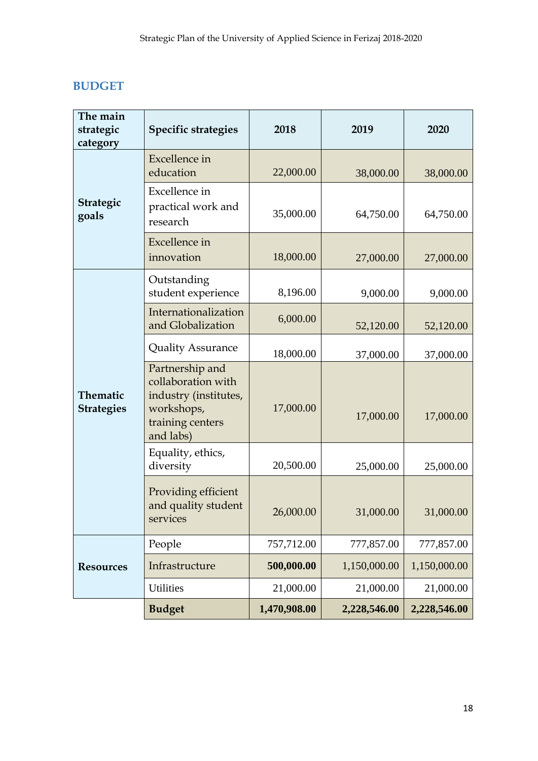# <span id="page-23-0"></span>**BUDGET**

| The main<br>strategic<br>category | <b>Specific strategies</b>                                                                                    | 2018         | 2019         | 2020         |
|-----------------------------------|---------------------------------------------------------------------------------------------------------------|--------------|--------------|--------------|
|                                   | <b>Excellence</b> in<br>education                                                                             | 22,000.00    | 38,000.00    | 38,000.00    |
| <b>Strategic</b><br>goals         | Excellence in<br>practical work and<br>research                                                               | 35,000.00    | 64,750.00    | 64,750.00    |
|                                   | <b>Excellence</b> in<br>innovation                                                                            | 18,000.00    | 27,000.00    | 27,000.00    |
|                                   | Outstanding<br>student experience                                                                             | 8,196.00     | 9,000.00     |              |
| Thematic<br><b>Strategies</b>     | Internationalization<br>and Globalization                                                                     | 6,000.00     | 52,120.00    | 52,120.00    |
|                                   | <b>Quality Assurance</b>                                                                                      | 18,000.00    | 37,000.00    | 37,000.00    |
|                                   | Partnership and<br>collaboration with<br>industry (institutes,<br>workshops,<br>training centers<br>and labs) | 17,000.00    | 17,000.00    | 17,000.00    |
|                                   | Equality, ethics,<br>diversity                                                                                | 20,500.00    | 25,000.00    | 25,000.00    |
|                                   | Providing efficient<br>and quality student<br>services                                                        | 26,000.00    | 31,000.00    | 31,000.00    |
|                                   | People                                                                                                        | 757,712.00   | 777,857.00   | 777,857.00   |
| <b>Resources</b>                  | Infrastructure                                                                                                | 500,000.00   | 1,150,000.00 | 1,150,000.00 |
|                                   | <b>Utilities</b>                                                                                              | 21,000.00    | 21,000.00    | 21,000.00    |
|                                   | <b>Budget</b>                                                                                                 | 1,470,908.00 | 2,228,546.00 | 2,228,546.00 |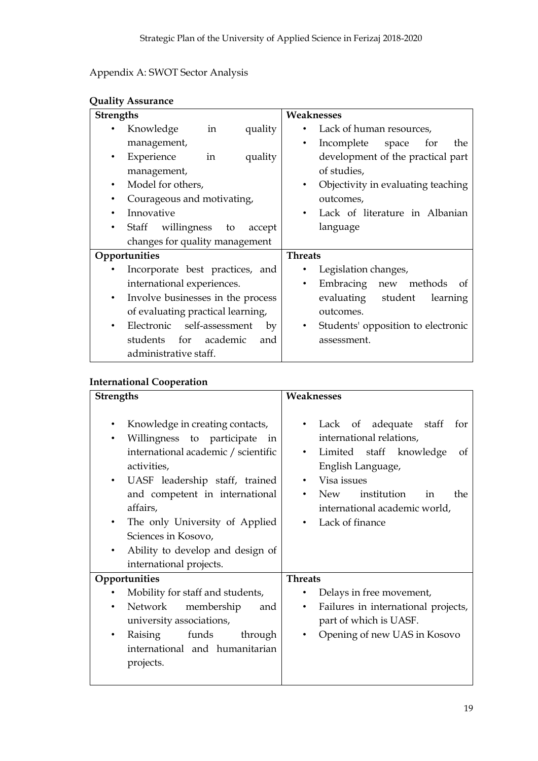# Appendix A: SWOT Sector Analysis

| <b>Strengths</b> |                                   |              |         | Weaknesses     |                                    |
|------------------|-----------------------------------|--------------|---------|----------------|------------------------------------|
|                  | Knowledge                         | $\dot{m}$    | quality |                | Lack of human resources,           |
|                  | management,                       |              |         | $\bullet$      | Incomplete space<br>for<br>the     |
| ٠                | Experience                        | in           | quality |                | development of the practical part  |
|                  | management,                       |              |         |                | of studies,                        |
| ٠                | Model for others,                 |              |         | ٠              | Objectivity in evaluating teaching |
| ٠                | Courageous and motivating,        |              |         |                | outcomes,                          |
|                  | Innovative                        |              |         |                | Lack of literature in Albanian     |
|                  | Staff willingness to              |              | accept  |                | language                           |
|                  | changes for quality management    |              |         |                |                                    |
|                  | Opportunities                     |              |         | <b>Threats</b> |                                    |
|                  | Incorporate best practices, and   |              |         |                | Legislation changes,               |
|                  | international experiences.        |              |         | $\bullet$      | Embracing new methods<br>0t        |
| $\bullet$        | Involve businesses in the process |              |         |                | evaluating student<br>learning     |
|                  | of evaluating practical learning, |              |         |                | outcomes.                          |
|                  | Electronic self-assessment        |              | by      | ٠              | Students' opposition to electronic |
|                  | students                          | for academic | and     |                | assessment.                        |
|                  | administrative staff.             |              |         |                |                                    |

# **International Cooperation**

| <b>Strengths</b>                                                                                                                                                                                                                                                                                                                    | Weaknesses                                                                                                                                                                                                                                      |
|-------------------------------------------------------------------------------------------------------------------------------------------------------------------------------------------------------------------------------------------------------------------------------------------------------------------------------------|-------------------------------------------------------------------------------------------------------------------------------------------------------------------------------------------------------------------------------------------------|
| Knowledge in creating contacts,<br>Willingness to participate in<br>٠<br>international academic / scientific<br>activities,<br>UASF leadership staff, trained<br>and competent in international<br>affairs,<br>The only University of Applied<br>Sciences in Kosovo,<br>Ability to develop and design of<br>international projects. | of adequate staff<br>Lack<br>for<br>international relations,<br>Limited staff knowledge<br><sub>of</sub><br>٠<br>English Language,<br>Visa issues<br>institution<br><b>New</b><br>the<br>in<br>international academic world,<br>Lack of finance |
| Opportunities                                                                                                                                                                                                                                                                                                                       | <b>Threats</b>                                                                                                                                                                                                                                  |
| Mobility for staff and students,<br>Network<br>membership<br>and<br>٠<br>university associations,<br>funds<br>Raising<br>through<br>٠<br>international and humanitarian<br>projects.                                                                                                                                                | Delays in free movement,<br>Failures in international projects,<br>$\bullet$<br>part of which is UASF.<br>Opening of new UAS in Kosovo<br>$\bullet$                                                                                             |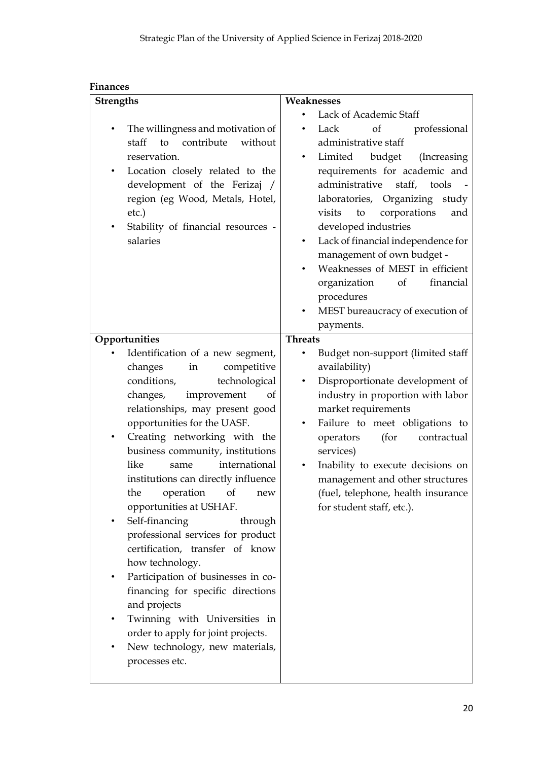| <b>Finances</b>                                                                                                                                                                                                                                                                                                                                                                                                                                                                                                                                                                                                                                                                                                                                                |                                                                                                                                                                                                                                                                                                                                                                                                                                                                                                                          |
|----------------------------------------------------------------------------------------------------------------------------------------------------------------------------------------------------------------------------------------------------------------------------------------------------------------------------------------------------------------------------------------------------------------------------------------------------------------------------------------------------------------------------------------------------------------------------------------------------------------------------------------------------------------------------------------------------------------------------------------------------------------|--------------------------------------------------------------------------------------------------------------------------------------------------------------------------------------------------------------------------------------------------------------------------------------------------------------------------------------------------------------------------------------------------------------------------------------------------------------------------------------------------------------------------|
| <b>Strengths</b>                                                                                                                                                                                                                                                                                                                                                                                                                                                                                                                                                                                                                                                                                                                                               | Weaknesses                                                                                                                                                                                                                                                                                                                                                                                                                                                                                                               |
| The willingness and motivation of<br>to<br>contribute<br>without<br>staff<br>reservation.<br>Location closely related to the<br>$\bullet$<br>development of the Ferizaj /<br>region (eg Wood, Metals, Hotel,<br>etc.)<br>Stability of financial resources -<br>salaries                                                                                                                                                                                                                                                                                                                                                                                                                                                                                        | Lack of Academic Staff<br><sub>of</sub><br>professional<br>Lack<br>administrative staff<br>budget<br>Limited<br>(Increasing<br>requirements for academic and<br>administrative<br>staff, tools<br>laboratories, Organizing<br>study<br>corporations<br>visits<br>to<br>and<br>developed industries<br>Lack of financial independence for<br>$\bullet$<br>management of own budget -<br>Weaknesses of MEST in efficient<br>financial<br>organization<br>of<br>procedures<br>MEST bureaucracy of execution of<br>payments. |
| Opportunities                                                                                                                                                                                                                                                                                                                                                                                                                                                                                                                                                                                                                                                                                                                                                  | <b>Threats</b>                                                                                                                                                                                                                                                                                                                                                                                                                                                                                                           |
| Identification of a new segment,<br>changes<br>competitive<br>in<br>technological<br>conditions,<br>changes,<br>improvement<br>οf<br>relationships, may present good<br>opportunities for the UASF.<br>Creating networking with the<br>business community, institutions<br>international<br>like<br>same<br>institutions can directly influence<br>operation<br>the<br>of<br>new<br>opportunities at USHAF.<br>Self-financing<br>through<br>professional services for product<br>certification, transfer of know<br>how technology.<br>Participation of businesses in co-<br>٠<br>financing for specific directions<br>and projects<br>Twinning with Universities in<br>order to apply for joint projects.<br>New technology, new materials,<br>processes etc. | Budget non-support (limited staff<br>availability)<br>Disproportionate development of<br>$\bullet$<br>industry in proportion with labor<br>market requirements<br>Failure to meet obligations to<br>$\bullet$<br>(for<br>operators<br>contractual<br>services)<br>Inability to execute decisions on<br>management and other structures<br>(fuel, telephone, health insurance<br>for student staff, etc.).                                                                                                                |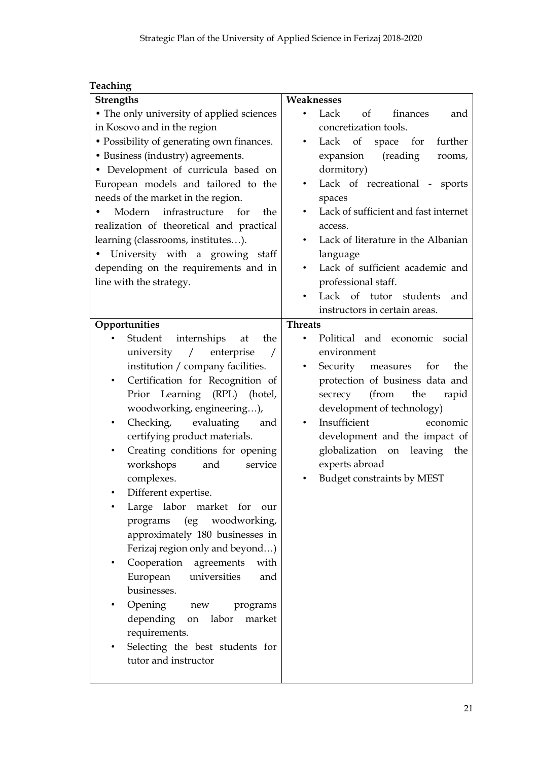# **Teaching**

| <b>Strengths</b>                                   | Weaknesses                                   |
|----------------------------------------------------|----------------------------------------------|
| • The only university of applied sciences          | Lack<br>of<br>finances<br>and                |
| in Kosovo and in the region                        | concretization tools.                        |
| • Possibility of generating own finances.          | Lack of<br>space for<br>further<br>٠         |
| • Business (industry) agreements.                  | (reading<br>expansion<br>rooms,              |
| • Development of curricula based on                | dormitory)                                   |
| European models and tailored to the                | Lack of recreational - sports                |
| needs of the market in the region.                 | spaces                                       |
| infrastructure<br>Modern<br>for<br>the             | Lack of sufficient and fast internet         |
| realization of theoretical and practical           | access.                                      |
| learning (classrooms, institutes).                 | Lack of literature in the Albanian<br>٠      |
| • University with a growing staff                  | language                                     |
| depending on the requirements and in               | Lack of sufficient academic and<br>$\bullet$ |
| line with the strategy.                            | professional staff.                          |
|                                                    | Lack of tutor students<br>and                |
|                                                    | instructors in certain areas.                |
| Opportunities                                      | <b>Threats</b>                               |
| Student<br>internships<br>the<br>at                | Political and economic<br>social             |
| university<br>enterprise<br>$\sqrt{2}$<br>$\prime$ | environment                                  |
| institution / company facilities.                  | Security measures for<br>the                 |
| Certification for Recognition of<br>$\bullet$      | protection of business data and              |
| Prior Learning (RPL)<br>(hotel,                    | (from<br>the<br>secrecy<br>rapid             |
| woodworking, engineering),                         | development of technology)                   |
| Checking,<br>evaluating<br>and<br>$\bullet$        | Insufficient<br>economic                     |
| certifying product materials.                      | development and the impact of                |
| Creating conditions for opening                    | globalization<br>leaving<br>on<br>the        |
| workshops<br>and<br>service                        | experts abroad                               |
| complexes.                                         | <b>Budget constraints by MEST</b>            |
| Different expertise.                               |                                              |
| Large labor market for our                         |                                              |
| (eg<br>woodworking,<br>programs                    |                                              |
| approximately 180 businesses in                    |                                              |
| Ferizaj region only and beyond)                    |                                              |
| Cooperation agreements<br>with                     |                                              |
| European universities<br>and                       |                                              |
| businesses.                                        |                                              |
| Opening new<br>programs                            |                                              |
| depending on<br>labor<br>market                    |                                              |
| requirements.                                      |                                              |
| Selecting the best students for                    |                                              |
| tutor and instructor                               |                                              |
|                                                    |                                              |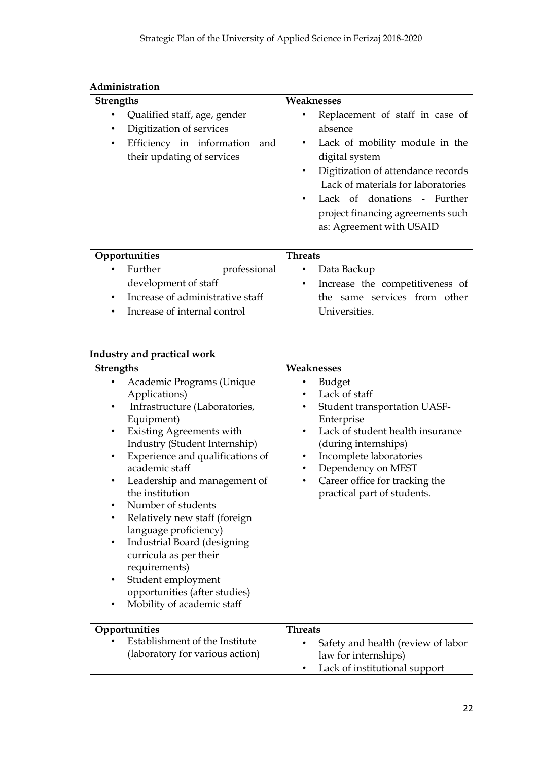# **Administration**

| <b>Strengths</b> |                                  |              | Weaknesses     |                                    |
|------------------|----------------------------------|--------------|----------------|------------------------------------|
|                  | Qualified staff, age, gender     |              |                | Replacement of staff in case of    |
|                  | Digitization of services         |              |                | absence                            |
| $\bullet$        | Efficiency in information and    |              | $\bullet$      | Lack of mobility module in the     |
|                  | their updating of services       |              |                | digital system                     |
|                  |                                  |              | $\bullet$      | Digitization of attendance records |
|                  |                                  |              |                | Lack of materials for laboratories |
|                  |                                  |              | $\bullet$      | Lack of donations - Further        |
|                  |                                  |              |                | project financing agreements such  |
|                  |                                  |              |                | as: Agreement with USAID           |
|                  |                                  |              |                |                                    |
|                  | Opportunities                    |              | <b>Threats</b> |                                    |
|                  | Further                          | professional | $\bullet$      | Data Backup                        |
|                  | development of staff             |              | $\bullet$      | Increase the competitiveness of    |
| ٠                | Increase of administrative staff |              |                | the same services from other       |
|                  | Increase of internal control     |              |                | Universities.                      |
|                  |                                  |              |                |                                    |

# **Industry and practical work**

| <b>Strengths</b>                                                                                                                                                                                                                                                                                                                                                                                                                                                                                                                                                                            | Weaknesses                                                                                                                                                                                                                                                                                                                  |
|---------------------------------------------------------------------------------------------------------------------------------------------------------------------------------------------------------------------------------------------------------------------------------------------------------------------------------------------------------------------------------------------------------------------------------------------------------------------------------------------------------------------------------------------------------------------------------------------|-----------------------------------------------------------------------------------------------------------------------------------------------------------------------------------------------------------------------------------------------------------------------------------------------------------------------------|
| Academic Programs (Unique<br>Applications)<br>Infrastructure (Laboratories,<br>Equipment)<br><b>Existing Agreements with</b><br>$\bullet$<br>Industry (Student Internship)<br>Experience and qualifications of<br>$\bullet$<br>academic staff<br>Leadership and management of<br>$\bullet$<br>the institution<br>Number of students<br>Relatively new staff (foreign<br>$\bullet$<br>language proficiency)<br>Industrial Board (designing<br>$\bullet$<br>curricula as per their<br>requirements)<br>Student employment<br>٠<br>opportunities (after studies)<br>Mobility of academic staff | <b>Budget</b><br>Lack of staff<br>Student transportation UASF-<br>$\bullet$<br>Enterprise<br>Lack of student health insurance<br>$\bullet$<br>(during internships)<br>Incomplete laboratories<br>$\bullet$<br>Dependency on MEST<br>$\bullet$<br>Career office for tracking the<br>$\bullet$<br>practical part of students. |
| Opportunities<br>Establishment of the Institute<br>(laboratory for various action)                                                                                                                                                                                                                                                                                                                                                                                                                                                                                                          | <b>Threats</b><br>Safety and health (review of labor<br>law for internships)                                                                                                                                                                                                                                                |
|                                                                                                                                                                                                                                                                                                                                                                                                                                                                                                                                                                                             | Lack of institutional support                                                                                                                                                                                                                                                                                               |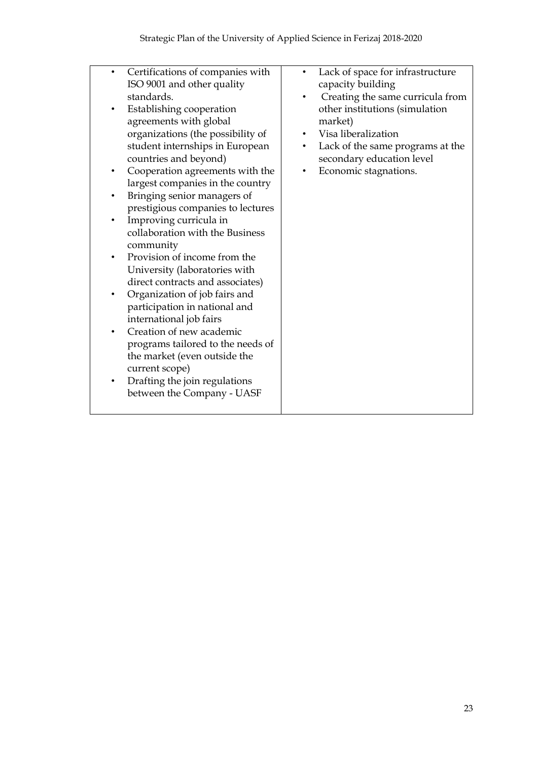| Certifications of companies with<br>ISO 9001 and other quality | Lack of space for infrastructure<br>capacity building |
|----------------------------------------------------------------|-------------------------------------------------------|
| standards.                                                     | Creating the same curricula from                      |
| Establishing cooperation                                       | other institutions (simulation                        |
| agreements with global                                         | market)                                               |
| organizations (the possibility of                              | Visa liberalization                                   |
| student internships in European                                | Lack of the same programs at the                      |
|                                                                |                                                       |
| countries and beyond)                                          | secondary education level                             |
| Cooperation agreements with the                                | Economic stagnations.                                 |
| largest companies in the country                               |                                                       |
| Bringing senior managers of                                    |                                                       |
| prestigious companies to lectures                              |                                                       |
| Improving curricula in                                         |                                                       |
| collaboration with the Business                                |                                                       |
| community                                                      |                                                       |
| Provision of income from the                                   |                                                       |
| University (laboratories with                                  |                                                       |
| direct contracts and associates)                               |                                                       |
| Organization of job fairs and                                  |                                                       |
| participation in national and                                  |                                                       |
| international job fairs                                        |                                                       |
| Creation of new academic                                       |                                                       |
| programs tailored to the needs of                              |                                                       |
| the market (even outside the                                   |                                                       |
| current scope)                                                 |                                                       |
| Drafting the join regulations                                  |                                                       |
| between the Company - UASF                                     |                                                       |
|                                                                |                                                       |
|                                                                |                                                       |